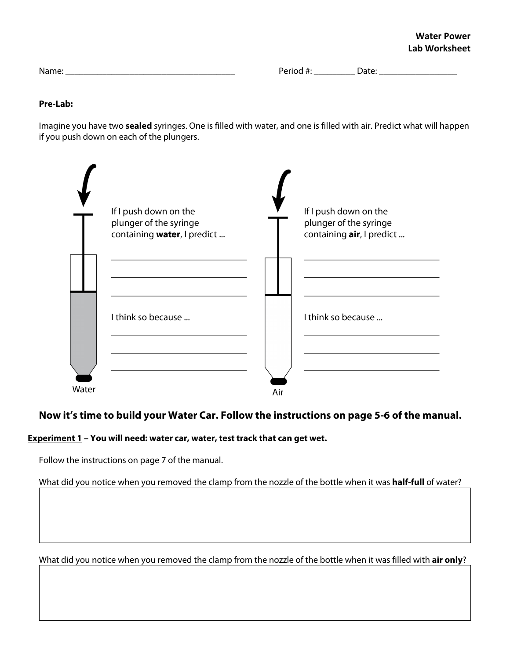Name: \_\_\_\_\_\_\_\_\_\_\_\_\_\_\_\_\_\_\_\_\_\_\_\_\_\_\_\_\_\_\_\_\_\_\_\_\_ Period #: \_\_\_\_\_\_\_\_\_ Date: \_\_\_\_\_\_\_\_\_\_\_\_\_\_\_\_\_

#### **Pre-Lab:**

Imagine you have two **sealed** syringes. One is filled with water, and one is filled with air. Predict what will happen if you push down on each of the plungers.



# **Now it's time to build your Water Car. Follow the instructions on page 5-6 of the manual.**

## **Experiment 1 – You will need: water car, water, test track that can get wet.**

Follow the instructions on page 7 of the manual.

What did you notice when you removed the clamp from the nozzle of the bottle when it was **half-full** of water?

What did you notice when you removed the clamp from the nozzle of the bottle when it was filled with **air only**?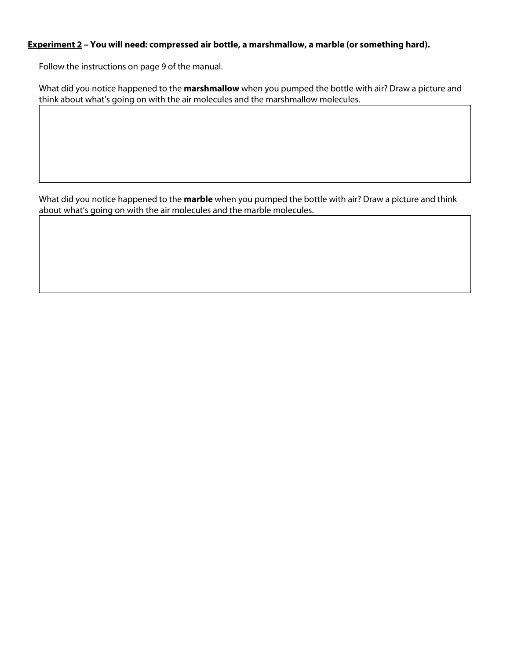### **Experiment 2 – You will need: compressed air bottle, a marshmallow, a marble (or something hard).**

Follow the instructions on page 9 of the manual.

What did you notice happened to the **marshmallow** when you pumped the bottle with air? Draw a picture and think about what's going on with the air molecules and the marshmallow molecules.

What did you notice happened to the **marble** when you pumped the bottle with air? Draw a picture and think about what's going on with the air molecules and the marble molecules.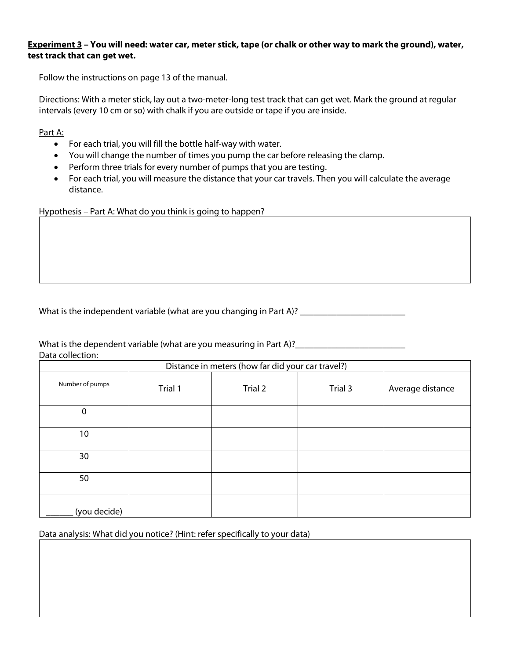### **Experiment 3 – You will need: water car, meter stick, tape (or chalk or other way to mark the ground), water, test track that can get wet.**

Follow the instructions on page 13 of the manual.

Directions: With a meter stick, lay out a two-meter-long test track that can get wet. Mark the ground at regular intervals (every 10 cm or so) with chalk if you are outside or tape if you are inside.

Part A:

- For each trial, you will fill the bottle half-way with water.
- You will change the number of times you pump the car before releasing the clamp.
- Perform three trials for every number of pumps that you are testing.
- For each trial, you will measure the distance that your car travels. Then you will calculate the average distance.

Hypothesis – Part A: What do you think is going to happen?

What is the independent variable (what are you changing in Part A)? \_\_\_\_\_\_\_\_\_\_\_\_

What is the dependent variable (what are you measuring in Part A)? Data collection:

|                 | Distance in meters (how far did your car travel?) |         |         |                  |
|-----------------|---------------------------------------------------|---------|---------|------------------|
| Number of pumps | Trial 1                                           | Trial 2 | Trial 3 | Average distance |
| 0               |                                                   |         |         |                  |
| 10              |                                                   |         |         |                  |
| 30              |                                                   |         |         |                  |
| 50              |                                                   |         |         |                  |
| (you decide)    |                                                   |         |         |                  |

Data analysis: What did you notice? (Hint: refer specifically to your data)